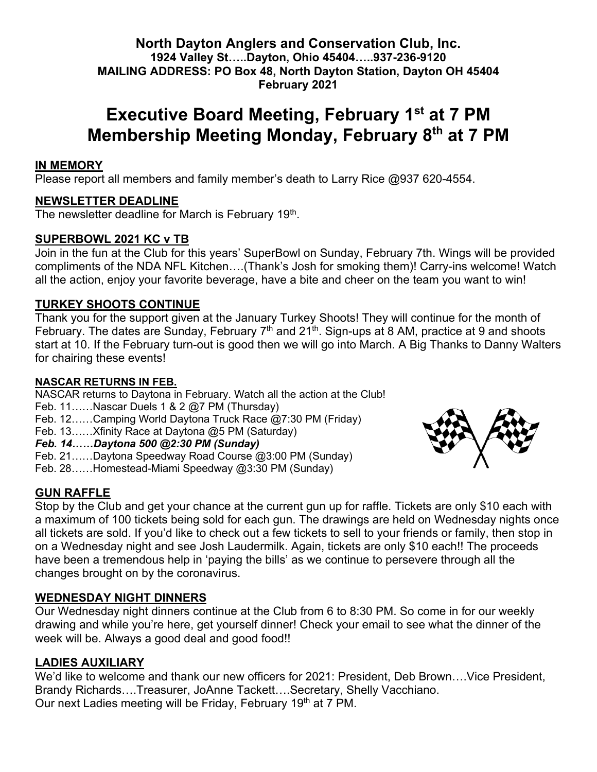#### **North Dayton Anglers and Conservation Club, Inc. 1924 Valley St…..Dayton, Ohio 45404…..937-236-9120 MAILING ADDRESS: PO Box 48, North Dayton Station, Dayton OH 45404 February 2021**

# **Executive Board Meeting, February 1st at 7 PM Membership Meeting Monday, February 8th at 7 PM**

### **IN MEMORY**

Please report all members and family member's death to Larry Rice @937 620-4554.

#### **NEWSLETTER DEADLINE**

The newsletter deadline for March is February 19<sup>th</sup>.

#### **SUPERBOWL 2021 KC v TB**

Join in the fun at the Club for this years' SuperBowl on Sunday, February 7th. Wings will be provided compliments of the NDA NFL Kitchen….(Thank's Josh for smoking them)! Carry-ins welcome! Watch all the action, enjoy your favorite beverage, have a bite and cheer on the team you want to win!

### **TURKEY SHOOTS CONTINUE**

Thank you for the support given at the January Turkey Shoots! They will continue for the month of February. The dates are Sunday, February  $7<sup>th</sup>$  and  $21<sup>th</sup>$ . Sign-ups at 8 AM, practice at 9 and shoots start at 10. If the February turn-out is good then we will go into March. A Big Thanks to Danny Walters for chairing these events!

#### **NASCAR RETURNS IN FEB.**

NASCAR returns to Daytona in February. Watch all the action at the Club!

- Feb. 11……Nascar Duels 1 & 2 @7 PM (Thursday)
- Feb. 12……Camping World Daytona Truck Race @7:30 PM (Friday)
- Feb. 13……Xfinity Race at Daytona @5 PM (Saturday)

*Feb. 14……Daytona 500 @2:30 PM (Sunday)*

- Feb. 21……Daytona Speedway Road Course @3:00 PM (Sunday)
- Feb. 28……Homestead-Miami Speedway @3:30 PM (Sunday)

# **GUN RAFFLE**

Stop by the Club and get your chance at the current gun up for raffle. Tickets are only \$10 each with a maximum of 100 tickets being sold for each gun. The drawings are held on Wednesday nights once all tickets are sold. If you'd like to check out a few tickets to sell to your friends or family, then stop in on a Wednesday night and see Josh Laudermilk. Again, tickets are only \$10 each!! The proceeds have been a tremendous help in 'paying the bills' as we continue to persevere through all the changes brought on by the coronavirus.

# **WEDNESDAY NIGHT DINNERS**

Our Wednesday night dinners continue at the Club from 6 to 8:30 PM. So come in for our weekly drawing and while you're here, get yourself dinner! Check your email to see what the dinner of the week will be. Always a good deal and good food!!

#### **LADIES AUXILIARY**

We'd like to welcome and thank our new officers for 2021: President, Deb Brown….Vice President, Brandy Richards….Treasurer, JoAnne Tackett….Secretary, Shelly Vacchiano. Our next Ladies meeting will be Friday, February 19th at 7 PM.